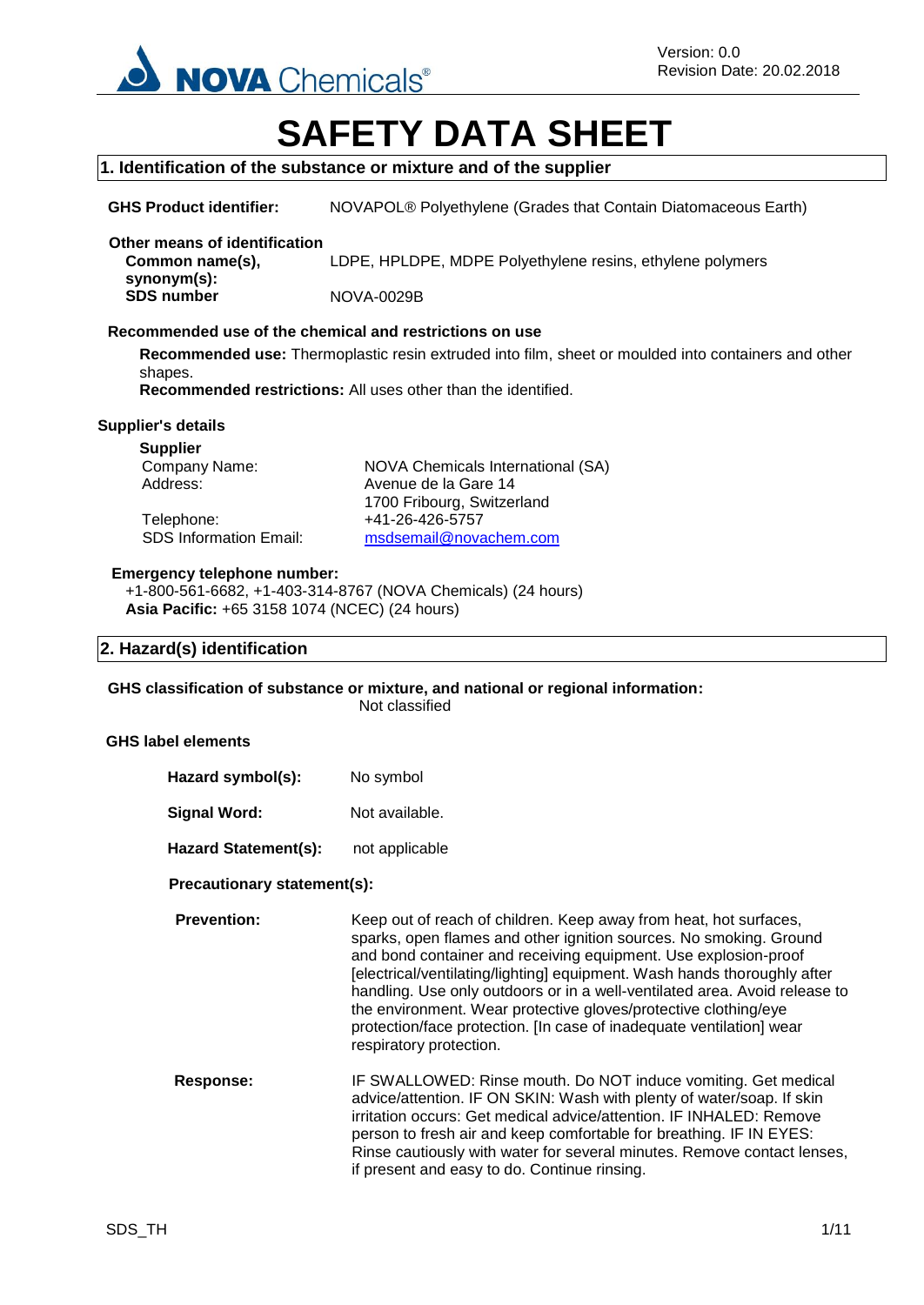

# **SAFETY DATA SHEET**

#### **1. Identification of the substance or mixture and of the supplier**

**GHS Product identifier:** NOVAPOL® Polyethylene (Grades that Contain Diatomaceous Earth)

#### **Other means of identification Common name(s),**

LDPE, HPLDPE, MDPE Polyethylene resins, ethylene polymers

**synonym(s): SDS number** NOVA-0029B

#### **Recommended use of the chemical and restrictions on use**

**Recommended use:** Thermoplastic resin extruded into film, sheet or moulded into containers and other shapes.

**Recommended restrictions:** All uses other than the identified.

#### **Supplier's details**

**Supplier**

Telephone: +41-26-426-5757<br>SDS Information Email: msdsemail@nova

Company Name: NOVA Chemicals International (SA) Address: Avenue de la Gare 14 1700 Fribourg, Switzerland [msdsemail@novachem.com](mailto:msdsemail@novachem.com)

#### **Emergency telephone number:**

+1-800-561-6682, +1-403-314-8767 (NOVA Chemicals) (24 hours) **Asia Pacific:** +65 3158 1074 (NCEC) (24 hours)

#### **2. Hazard(s) identification**

**GHS classification of substance or mixture, and national or regional information:**

Not classified

#### **GHS label elements**

| Hazard symbol(s):           | No symbol      |
|-----------------------------|----------------|
| Signal Word:                | Not available. |
| <b>Hazard Statement(s):</b> | not applicable |

#### **Precautionary statement(s):**

**Prevention:** Keep out of reach of children. Keep away from heat, hot surfaces, sparks, open flames and other ignition sources. No smoking. Ground and bond container and receiving equipment. Use explosion-proof [electrical/ventilating/lighting] equipment. Wash hands thoroughly after handling. Use only outdoors or in a well-ventilated area. Avoid release to the environment. Wear protective gloves/protective clothing/eye protection/face protection. [In case of inadequate ventilation] wear respiratory protection.

**Response:** IF SWALLOWED: Rinse mouth. Do NOT induce vomiting. Get medical advice/attention. IF ON SKIN: Wash with plenty of water/soap. If skin irritation occurs: Get medical advice/attention. IF INHALED: Remove person to fresh air and keep comfortable for breathing. IF IN EYES: Rinse cautiously with water for several minutes. Remove contact lenses, if present and easy to do. Continue rinsing.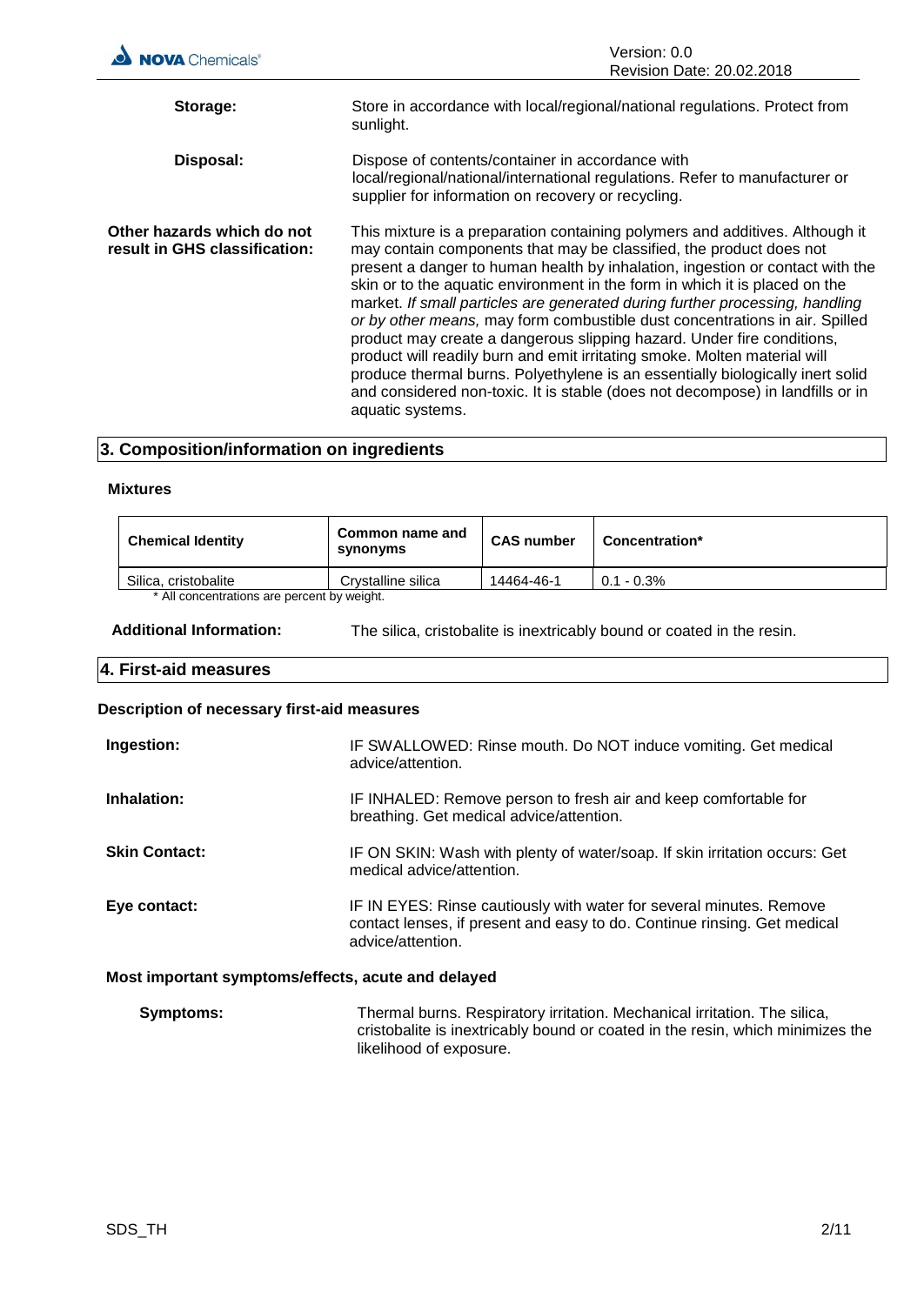| <b>NOVA</b> Chemicals®                                      | Version: 0.0<br>Revision Date: 20.02.2018                                                                                                                                                                                                                                                                                                                                                                                                                                                                                                                                                                                                                                                                                                                                                                                         |
|-------------------------------------------------------------|-----------------------------------------------------------------------------------------------------------------------------------------------------------------------------------------------------------------------------------------------------------------------------------------------------------------------------------------------------------------------------------------------------------------------------------------------------------------------------------------------------------------------------------------------------------------------------------------------------------------------------------------------------------------------------------------------------------------------------------------------------------------------------------------------------------------------------------|
|                                                             |                                                                                                                                                                                                                                                                                                                                                                                                                                                                                                                                                                                                                                                                                                                                                                                                                                   |
| Storage:                                                    | Store in accordance with local/regional/national regulations. Protect from<br>sunlight.                                                                                                                                                                                                                                                                                                                                                                                                                                                                                                                                                                                                                                                                                                                                           |
| Disposal:                                                   | Dispose of contents/container in accordance with<br>local/regional/national/international regulations. Refer to manufacturer or<br>supplier for information on recovery or recycling.                                                                                                                                                                                                                                                                                                                                                                                                                                                                                                                                                                                                                                             |
| Other hazards which do not<br>result in GHS classification: | This mixture is a preparation containing polymers and additives. Although it<br>may contain components that may be classified, the product does not<br>present a danger to human health by inhalation, ingestion or contact with the<br>skin or to the aquatic environment in the form in which it is placed on the<br>market. If small particles are generated during further processing, handling<br>or by other means, may form combustible dust concentrations in air. Spilled<br>product may create a dangerous slipping hazard. Under fire conditions,<br>product will readily burn and emit irritating smoke. Molten material will<br>produce thermal burns. Polyethylene is an essentially biologically inert solid<br>and considered non-toxic. It is stable (does not decompose) in landfills or in<br>aquatic systems. |

# **3. Composition/information on ingredients**

#### **Mixtures**

| <b>Chemical Identity</b>                   | Common name and<br>synonyms | <b>CAS number</b> | Concentration* |
|--------------------------------------------|-----------------------------|-------------------|----------------|
| Silica, cristobalite                       | Crystalline silica          | 14464-46-1        | $0.1 - 0.3\%$  |
| * All concentrations are nercent by weight |                             |                   |                |

All concentrations are percent by weight.

**Additional Information:** The silica, cristobalite is inextricably bound or coated in the resin.

## **4. First-aid measures**

# **Description of necessary first-aid measures**

| Ingestion:                                         | IF SWALLOWED: Rinse mouth. Do NOT induce vomiting. Get medical<br>advice/attention.                                                                                  |  |
|----------------------------------------------------|----------------------------------------------------------------------------------------------------------------------------------------------------------------------|--|
| Inhalation:                                        | IF INHALED: Remove person to fresh air and keep comfortable for<br>breathing. Get medical advice/attention.                                                          |  |
| <b>Skin Contact:</b>                               | IF ON SKIN: Wash with plenty of water/soap. If skin irritation occurs: Get<br>medical advice/attention.                                                              |  |
| Eye contact:                                       | IF IN EYES: Rinse cautiously with water for several minutes. Remove<br>contact lenses, if present and easy to do. Continue rinsing. Get medical<br>advice/attention. |  |
| Most important symptoms/effects, acute and delayed |                                                                                                                                                                      |  |

| <b>Symptoms:</b> | Thermal burns. Respiratory irritation. Mechanical irritation. The silica,      |
|------------------|--------------------------------------------------------------------------------|
|                  | cristobalite is inextricably bound or coated in the resin, which minimizes the |
|                  | likelihood of exposure.                                                        |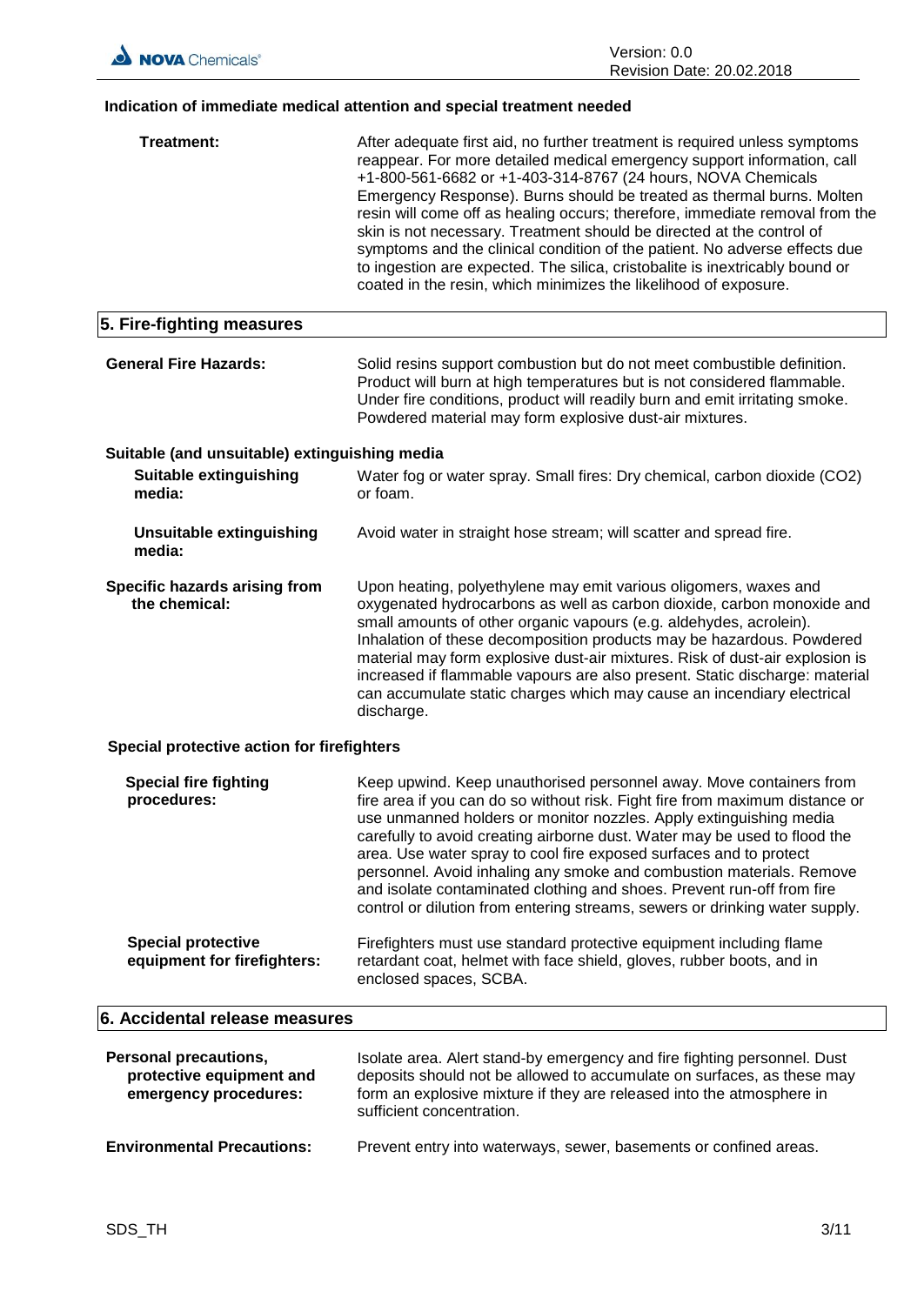# **Indication of immediate medical attention and special treatment needed**

| Treatment:                                                                 | After adequate first aid, no further treatment is required unless symptoms<br>reappear. For more detailed medical emergency support information, call<br>+1-800-561-6682 or +1-403-314-8767 (24 hours, NOVA Chemicals<br>Emergency Response). Burns should be treated as thermal burns. Molten<br>resin will come off as healing occurs; therefore, immediate removal from the<br>skin is not necessary. Treatment should be directed at the control of<br>symptoms and the clinical condition of the patient. No adverse effects due<br>to ingestion are expected. The silica, cristobalite is inextricably bound or<br>coated in the resin, which minimizes the likelihood of exposure. |
|----------------------------------------------------------------------------|-------------------------------------------------------------------------------------------------------------------------------------------------------------------------------------------------------------------------------------------------------------------------------------------------------------------------------------------------------------------------------------------------------------------------------------------------------------------------------------------------------------------------------------------------------------------------------------------------------------------------------------------------------------------------------------------|
| 5. Fire-fighting measures                                                  |                                                                                                                                                                                                                                                                                                                                                                                                                                                                                                                                                                                                                                                                                           |
| <b>General Fire Hazards:</b>                                               | Solid resins support combustion but do not meet combustible definition.<br>Product will burn at high temperatures but is not considered flammable.<br>Under fire conditions, product will readily burn and emit irritating smoke.<br>Powdered material may form explosive dust-air mixtures.                                                                                                                                                                                                                                                                                                                                                                                              |
| Suitable (and unsuitable) extinguishing media                              |                                                                                                                                                                                                                                                                                                                                                                                                                                                                                                                                                                                                                                                                                           |
| <b>Suitable extinguishing</b><br>media:                                    | Water fog or water spray. Small fires: Dry chemical, carbon dioxide (CO2)<br>or foam.                                                                                                                                                                                                                                                                                                                                                                                                                                                                                                                                                                                                     |
| <b>Unsuitable extinguishing</b><br>media:                                  | Avoid water in straight hose stream; will scatter and spread fire.                                                                                                                                                                                                                                                                                                                                                                                                                                                                                                                                                                                                                        |
| Specific hazards arising from<br>the chemical:                             | Upon heating, polyethylene may emit various oligomers, waxes and<br>oxygenated hydrocarbons as well as carbon dioxide, carbon monoxide and<br>small amounts of other organic vapours (e.g. aldehydes, acrolein).<br>Inhalation of these decomposition products may be hazardous. Powdered<br>material may form explosive dust-air mixtures. Risk of dust-air explosion is<br>increased if flammable vapours are also present. Static discharge: material<br>can accumulate static charges which may cause an incendiary electrical<br>discharge.                                                                                                                                          |
| Special protective action for firefighters                                 |                                                                                                                                                                                                                                                                                                                                                                                                                                                                                                                                                                                                                                                                                           |
| <b>Special fire fighting</b><br>procedures:                                | Keep upwind. Keep unauthorised personnel away. Move containers from<br>fire area if you can do so without risk. Fight fire from maximum distance or<br>use unmanned holders or monitor nozzles. Apply extinguishing media<br>carefully to avoid creating airborne dust. Water may be used to flood the<br>area. Use water spray to cool fire exposed surfaces and to protect<br>personnel. Avoid inhaling any smoke and combustion materials. Remove<br>and isolate contaminated clothing and shoes. Prevent run-off from fire<br>control or dilution from entering streams, sewers or drinking water supply.                                                                             |
| <b>Special protective</b><br>equipment for firefighters:                   | Firefighters must use standard protective equipment including flame<br>retardant coat, helmet with face shield, gloves, rubber boots, and in<br>enclosed spaces, SCBA.                                                                                                                                                                                                                                                                                                                                                                                                                                                                                                                    |
| 6. Accidental release measures                                             |                                                                                                                                                                                                                                                                                                                                                                                                                                                                                                                                                                                                                                                                                           |
| Personal precautions,<br>protective equipment and<br>emergency procedures: | Isolate area. Alert stand-by emergency and fire fighting personnel. Dust<br>deposits should not be allowed to accumulate on surfaces, as these may<br>form an explosive mixture if they are released into the atmosphere in<br>sufficient concentration.                                                                                                                                                                                                                                                                                                                                                                                                                                  |

 $\overline{\phantom{a}}$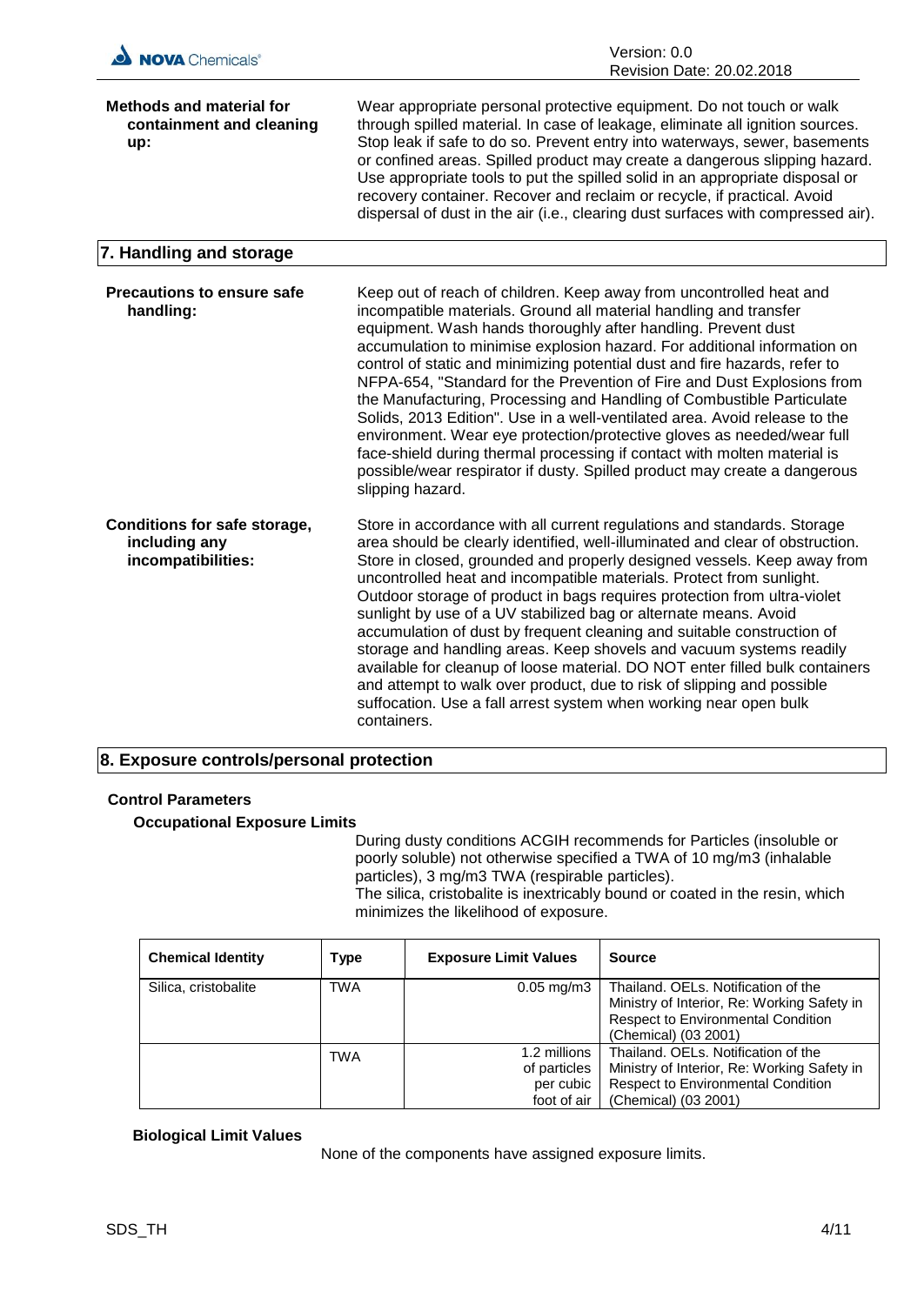| NOVA Chemicals <sup>®</sup>                                                | Version: 0.0<br>Revision Date: 20.02.2018                                                                                                                                                                                                                                                                                                                                                                                                                                                                                                                                                                                                                                                                                                                                                                                                                    |
|----------------------------------------------------------------------------|--------------------------------------------------------------------------------------------------------------------------------------------------------------------------------------------------------------------------------------------------------------------------------------------------------------------------------------------------------------------------------------------------------------------------------------------------------------------------------------------------------------------------------------------------------------------------------------------------------------------------------------------------------------------------------------------------------------------------------------------------------------------------------------------------------------------------------------------------------------|
| <b>Methods and material for</b><br>containment and cleaning<br>up:         | Wear appropriate personal protective equipment. Do not touch or walk<br>through spilled material. In case of leakage, eliminate all ignition sources.<br>Stop leak if safe to do so. Prevent entry into waterways, sewer, basements<br>or confined areas. Spilled product may create a dangerous slipping hazard.<br>Use appropriate tools to put the spilled solid in an appropriate disposal or<br>recovery container. Recover and reclaim or recycle, if practical. Avoid<br>dispersal of dust in the air (i.e., clearing dust surfaces with compressed air).                                                                                                                                                                                                                                                                                             |
| 7. Handling and storage                                                    |                                                                                                                                                                                                                                                                                                                                                                                                                                                                                                                                                                                                                                                                                                                                                                                                                                                              |
| <b>Precautions to ensure safe</b><br>handling:                             | Keep out of reach of children. Keep away from uncontrolled heat and<br>incompatible materials. Ground all material handling and transfer<br>equipment. Wash hands thoroughly after handling. Prevent dust<br>accumulation to minimise explosion hazard. For additional information on<br>control of static and minimizing potential dust and fire hazards, refer to<br>NFPA-654, "Standard for the Prevention of Fire and Dust Explosions from<br>the Manufacturing, Processing and Handling of Combustible Particulate<br>Solids, 2013 Edition". Use in a well-ventilated area. Avoid release to the<br>environment. Wear eye protection/protective gloves as needed/wear full<br>face-shield during thermal processing if contact with molten material is<br>possible/wear respirator if dusty. Spilled product may create a dangerous<br>slipping hazard. |
| <b>Conditions for safe storage,</b><br>including any<br>incompatibilities: | Store in accordance with all current regulations and standards. Storage<br>area should be clearly identified, well-illuminated and clear of obstruction.<br>Store in closed, grounded and properly designed vessels. Keep away from<br>uncontrolled heat and incompatible materials. Protect from sunlight.<br>Outdoor storage of product in bags requires protection from ultra-violet<br>sunlight by use of a UV stabilized bag or alternate means. Avoid<br>accumulation of dust by frequent cleaning and suitable construction of<br>storage and handling areas. Keep shovels and vacuum systems readily<br>available for cleanup of loose material. DO NOT enter filled bulk containers<br>and attempt to walk over product, due to risk of slipping and possible<br>suffocation. Use a fall arrest system when working near open bulk<br>containers.   |

### **8. Exposure controls/personal protection**

#### **Control Parameters**

**Occupational Exposure Limits**

During dusty conditions ACGIH recommends for Particles (insoluble or poorly soluble) not otherwise specified a TWA of 10 mg/m3 (inhalable particles), 3 mg/m3 TWA (respirable particles). The silica, cristobalite is inextricably bound or coated in the resin, which minimizes the likelihood of exposure.

| <b>Chemical Identity</b> | Type       | <b>Exposure Limit Values</b>                             | <b>Source</b>                                                                                                                                           |
|--------------------------|------------|----------------------------------------------------------|---------------------------------------------------------------------------------------------------------------------------------------------------------|
| Silica, cristobalite     | <b>TWA</b> | $0.05 \text{ mg/m}$ 3                                    | Thailand. OELs. Notification of the<br>Ministry of Interior, Re: Working Safety in<br><b>Respect to Environmental Condition</b><br>(Chemical) (03 2001) |
|                          | TWA        | 1.2 millions<br>of particles<br>per cubic<br>foot of air | Thailand, OELs, Notification of the<br>Ministry of Interior, Re: Working Safety in<br><b>Respect to Environmental Condition</b><br>(Chemical) (03 2001) |

#### **Biological Limit Values**

None of the components have assigned exposure limits.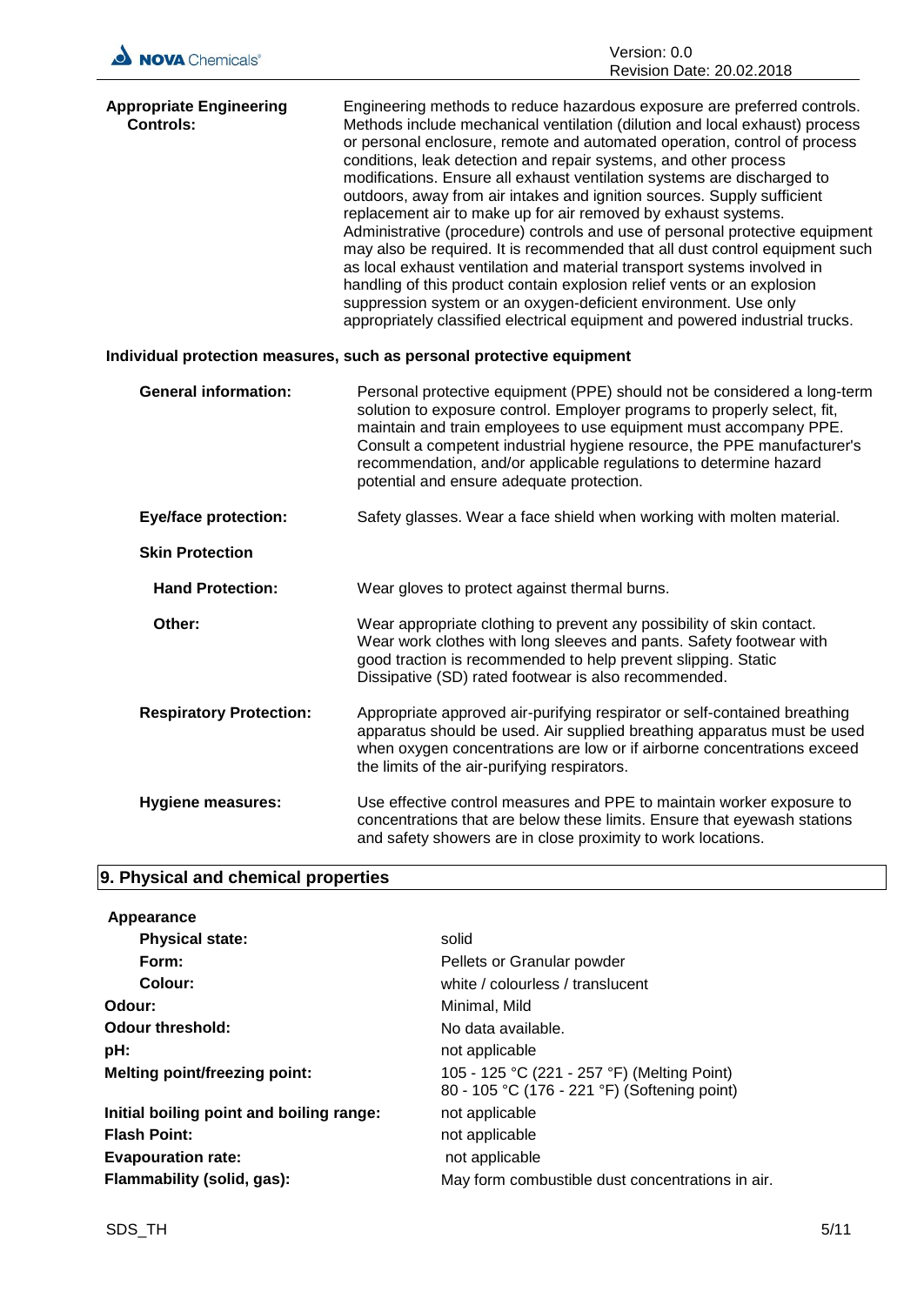| NOVA Chemicals <sup>®</sup>                                           | Version: 0.0<br>Revision Date: 20.02.2018                                                                                                                                                                                                                                                                                                                                                                                                                                                                                                                                                                                                                                                                                                                                                                                                                                                                                                                                                                 |  |
|-----------------------------------------------------------------------|-----------------------------------------------------------------------------------------------------------------------------------------------------------------------------------------------------------------------------------------------------------------------------------------------------------------------------------------------------------------------------------------------------------------------------------------------------------------------------------------------------------------------------------------------------------------------------------------------------------------------------------------------------------------------------------------------------------------------------------------------------------------------------------------------------------------------------------------------------------------------------------------------------------------------------------------------------------------------------------------------------------|--|
| <b>Appropriate Engineering</b><br><b>Controls:</b>                    | Engineering methods to reduce hazardous exposure are preferred controls.<br>Methods include mechanical ventilation (dilution and local exhaust) process<br>or personal enclosure, remote and automated operation, control of process<br>conditions, leak detection and repair systems, and other process<br>modifications. Ensure all exhaust ventilation systems are discharged to<br>outdoors, away from air intakes and ignition sources. Supply sufficient<br>replacement air to make up for air removed by exhaust systems.<br>Administrative (procedure) controls and use of personal protective equipment<br>may also be required. It is recommended that all dust control equipment such<br>as local exhaust ventilation and material transport systems involved in<br>handling of this product contain explosion relief vents or an explosion<br>suppression system or an oxygen-deficient environment. Use only<br>appropriately classified electrical equipment and powered industrial trucks. |  |
| Individual protection measures, such as personal protective equipment |                                                                                                                                                                                                                                                                                                                                                                                                                                                                                                                                                                                                                                                                                                                                                                                                                                                                                                                                                                                                           |  |
| <b>General information:</b>                                           | Personal protective equipment (PPE) should not be considered a long-term<br>solution to exposure control. Employer programs to properly select, fit,<br>maintain and train employees to use equipment must accompany PPE.<br>Consult a competent industrial hygiene resource, the PPE manufacturer's<br>recommendation, and/or applicable regulations to determine hazard<br>potential and ensure adequate protection.                                                                                                                                                                                                                                                                                                                                                                                                                                                                                                                                                                                    |  |
| <b>Eye/face protection:</b>                                           | Safety glasses. Wear a face shield when working with molten material.                                                                                                                                                                                                                                                                                                                                                                                                                                                                                                                                                                                                                                                                                                                                                                                                                                                                                                                                     |  |
| <b>Skin Protection</b>                                                |                                                                                                                                                                                                                                                                                                                                                                                                                                                                                                                                                                                                                                                                                                                                                                                                                                                                                                                                                                                                           |  |
| <b>Hand Protection:</b>                                               | Wear gloves to protect against thermal burns.                                                                                                                                                                                                                                                                                                                                                                                                                                                                                                                                                                                                                                                                                                                                                                                                                                                                                                                                                             |  |
| Other:                                                                | Wear appropriate clothing to prevent any possibility of skin contact.<br>Wear work clothes with long sleeves and pants. Safety footwear with<br>good traction is recommended to help prevent slipping. Static<br>Dissipative (SD) rated footwear is also recommended.                                                                                                                                                                                                                                                                                                                                                                                                                                                                                                                                                                                                                                                                                                                                     |  |
| <b>Respiratory Protection:</b>                                        | Appropriate approved air-purifying respirator or self-contained breathing<br>apparatus should be used. Air supplied breathing apparatus must be used<br>when oxygen concentrations are low or if airborne concentrations exceed<br>the limits of the air-purifying respirators.                                                                                                                                                                                                                                                                                                                                                                                                                                                                                                                                                                                                                                                                                                                           |  |
| <b>Hygiene measures:</b>                                              | Use effective control measures and PPE to maintain worker exposure to<br>concentrations that are below these limits. Ensure that eyewash stations<br>and safety showers are in close proximity to work locations.                                                                                                                                                                                                                                                                                                                                                                                                                                                                                                                                                                                                                                                                                                                                                                                         |  |

# **9. Physical and chemical properties**

| Appearance                               |                                                                                             |
|------------------------------------------|---------------------------------------------------------------------------------------------|
| <b>Physical state:</b>                   | solid                                                                                       |
| Form:                                    | Pellets or Granular powder                                                                  |
| Colour:                                  | white / colourless / translucent                                                            |
| Odour:                                   | Minimal, Mild                                                                               |
| Odour threshold:                         | No data available.                                                                          |
| pH:                                      | not applicable                                                                              |
| <b>Melting point/freezing point:</b>     | 105 - 125 °C (221 - 257 °F) (Melting Point)<br>80 - 105 °C (176 - 221 °F) (Softening point) |
| Initial boiling point and boiling range: | not applicable                                                                              |
| <b>Flash Point:</b>                      | not applicable                                                                              |
| <b>Evapouration rate:</b>                | not applicable                                                                              |
| Flammability (solid, gas):               | May form combustible dust concentrations in air.                                            |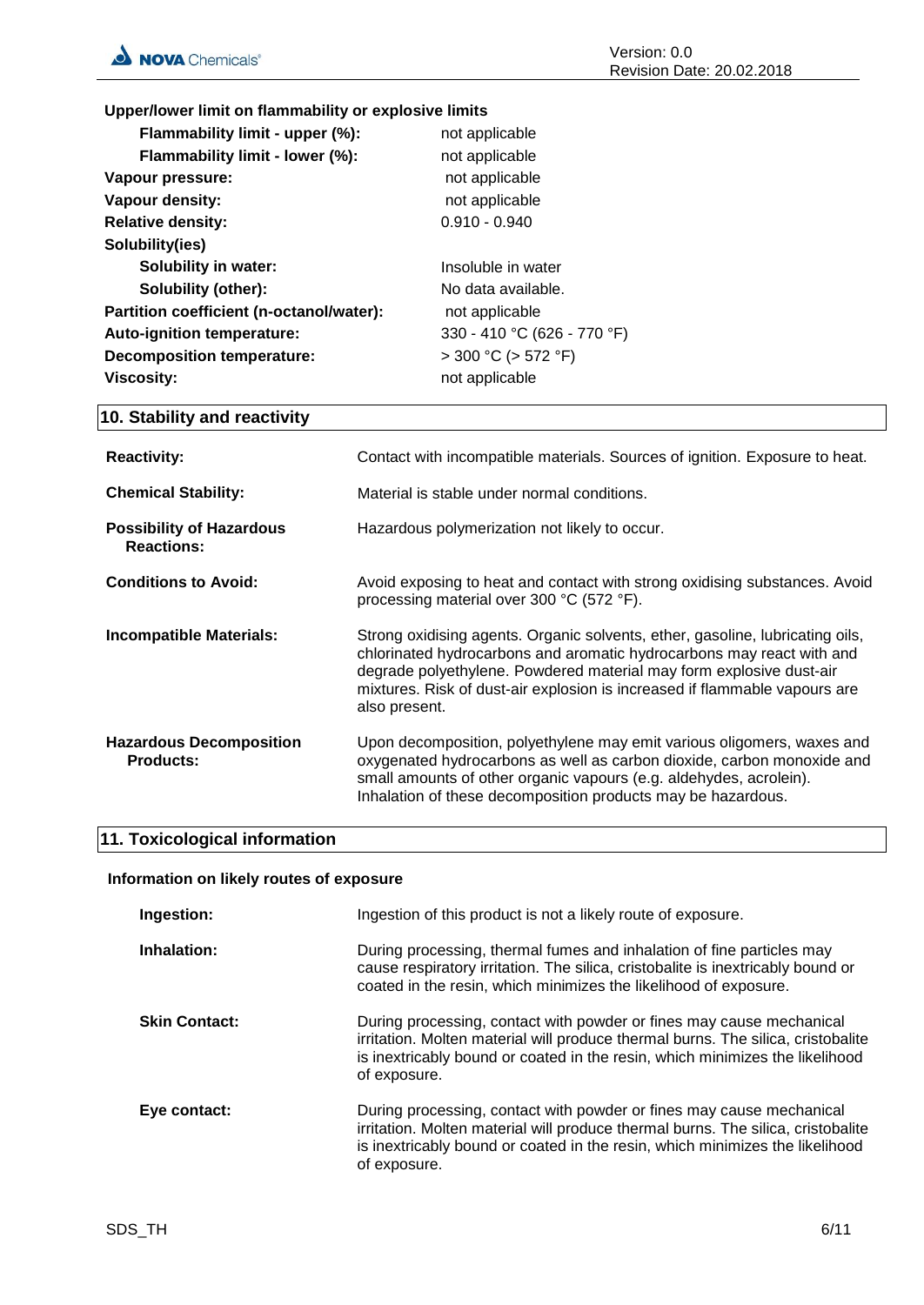**Upper/lower limit on flammability or explosive limits**

| Flammability limit - upper (%):          | not applicable              |
|------------------------------------------|-----------------------------|
| Flammability limit - lower (%):          | not applicable              |
| Vapour pressure:                         | not applicable              |
| Vapour density:                          | not applicable              |
| <b>Relative density:</b>                 | $0.910 - 0.940$             |
| Solubility(ies)                          |                             |
| Solubility in water:                     | Insoluble in water          |
| <b>Solubility (other):</b>               | No data available.          |
| Partition coefficient (n-octanol/water): | not applicable              |
| Auto-ignition temperature:               | 330 - 410 °C (626 - 770 °F) |
| <b>Decomposition temperature:</b>        | $>$ 300 °C ( $>$ 572 °F)    |
| <b>Viscosity:</b>                        | not applicable              |
|                                          |                             |

# **10. Stability and reactivity**

| <b>Reactivity:</b>                                   | Contact with incompatible materials. Sources of ignition. Exposure to heat.                                                                                                                                                                                                                                                  |
|------------------------------------------------------|------------------------------------------------------------------------------------------------------------------------------------------------------------------------------------------------------------------------------------------------------------------------------------------------------------------------------|
| <b>Chemical Stability:</b>                           | Material is stable under normal conditions.                                                                                                                                                                                                                                                                                  |
| <b>Possibility of Hazardous</b><br><b>Reactions:</b> | Hazardous polymerization not likely to occur.                                                                                                                                                                                                                                                                                |
| <b>Conditions to Avoid:</b>                          | Avoid exposing to heat and contact with strong oxidising substances. Avoid<br>processing material over 300 °C (572 °F).                                                                                                                                                                                                      |
| <b>Incompatible Materials:</b>                       | Strong oxidising agents. Organic solvents, ether, gasoline, lubricating oils,<br>chlorinated hydrocarbons and aromatic hydrocarbons may react with and<br>degrade polyethylene. Powdered material may form explosive dust-air<br>mixtures. Risk of dust-air explosion is increased if flammable vapours are<br>also present. |
| <b>Hazardous Decomposition</b><br><b>Products:</b>   | Upon decomposition, polyethylene may emit various oligomers, waxes and<br>oxygenated hydrocarbons as well as carbon dioxide, carbon monoxide and<br>small amounts of other organic vapours (e.g. aldehydes, acrolein).<br>Inhalation of these decomposition products may be hazardous.                                       |

# **11. Toxicological information**

#### **Information on likely routes of exposure**

| Ingestion:           | Ingestion of this product is not a likely route of exposure.                                                                                                                                                                                             |
|----------------------|----------------------------------------------------------------------------------------------------------------------------------------------------------------------------------------------------------------------------------------------------------|
| Inhalation:          | During processing, thermal fumes and inhalation of fine particles may<br>cause respiratory irritation. The silica, cristobalite is inextricably bound or<br>coated in the resin, which minimizes the likelihood of exposure.                             |
| <b>Skin Contact:</b> | During processing, contact with powder or fines may cause mechanical<br>irritation. Molten material will produce thermal burns. The silica, cristobalite<br>is inextricably bound or coated in the resin, which minimizes the likelihood<br>of exposure. |
| Eye contact:         | During processing, contact with powder or fines may cause mechanical<br>irritation. Molten material will produce thermal burns. The silica, cristobalite<br>is inextricably bound or coated in the resin, which minimizes the likelihood<br>of exposure. |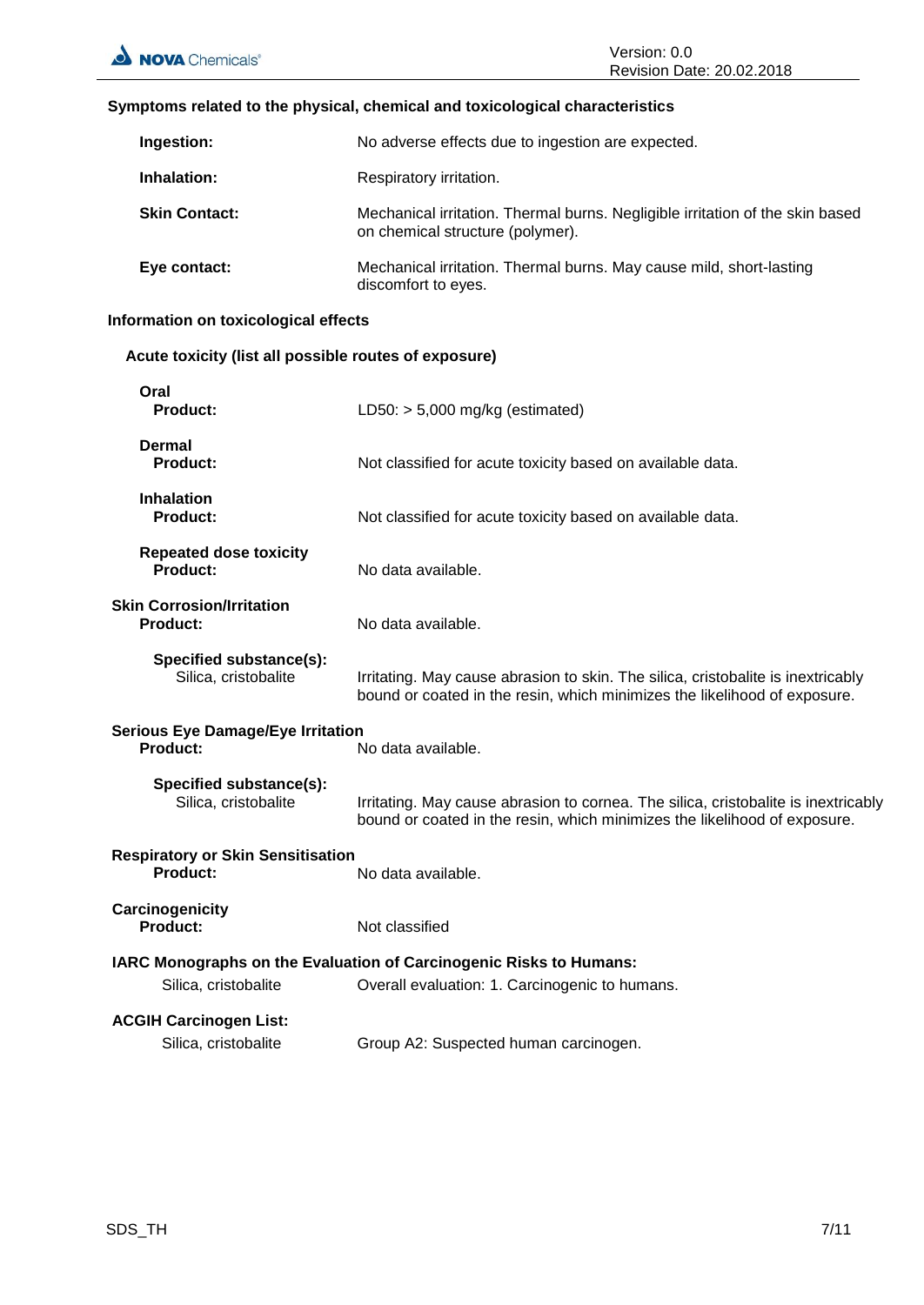#### **Symptoms related to the physical, chemical and toxicological characteristics**

| Ingestion:           | No adverse effects due to ingestion are expected.                                                                 |
|----------------------|-------------------------------------------------------------------------------------------------------------------|
| Inhalation:          | Respiratory irritation.                                                                                           |
| <b>Skin Contact:</b> | Mechanical irritation. Thermal burns. Negligible irritation of the skin based<br>on chemical structure (polymer). |
| Eye contact:         | Mechanical irritation. Thermal burns. May cause mild, short-lasting<br>discomfort to eyes.                        |

# **Information on toxicological effects**

# **Acute toxicity (list all possible routes of exposure)**

| Oral<br><b>Product:</b>                                     | LD50: $> 5,000$ mg/kg (estimated)                                                                                                                               |
|-------------------------------------------------------------|-----------------------------------------------------------------------------------------------------------------------------------------------------------------|
| <b>Dermal</b><br><b>Product:</b>                            | Not classified for acute toxicity based on available data.                                                                                                      |
| <b>Inhalation</b><br>Product:                               | Not classified for acute toxicity based on available data.                                                                                                      |
| <b>Repeated dose toxicity</b><br>Product:                   | No data available.                                                                                                                                              |
| <b>Skin Corrosion/Irritation</b><br><b>Product:</b>         | No data available.                                                                                                                                              |
| Specified substance(s):<br>Silica, cristobalite             | Irritating. May cause abrasion to skin. The silica, cristobalite is inextricably<br>bound or coated in the resin, which minimizes the likelihood of exposure.   |
| <b>Serious Eye Damage/Eye Irritation</b><br><b>Product:</b> | No data available.                                                                                                                                              |
| Specified substance(s):<br>Silica, cristobalite             | Irritating. May cause abrasion to cornea. The silica, cristobalite is inextricably<br>bound or coated in the resin, which minimizes the likelihood of exposure. |
| <b>Respiratory or Skin Sensitisation</b><br>Product:        | No data available.                                                                                                                                              |
| Carcinogenicity<br><b>Product:</b>                          | Not classified                                                                                                                                                  |
|                                                             | IARC Monographs on the Evaluation of Carcinogenic Risks to Humans:                                                                                              |
| Silica, cristobalite                                        | Overall evaluation: 1. Carcinogenic to humans.                                                                                                                  |
| <b>ACGIH Carcinogen List:</b><br>Silica, cristobalite       | Group A2: Suspected human carcinogen.                                                                                                                           |
|                                                             |                                                                                                                                                                 |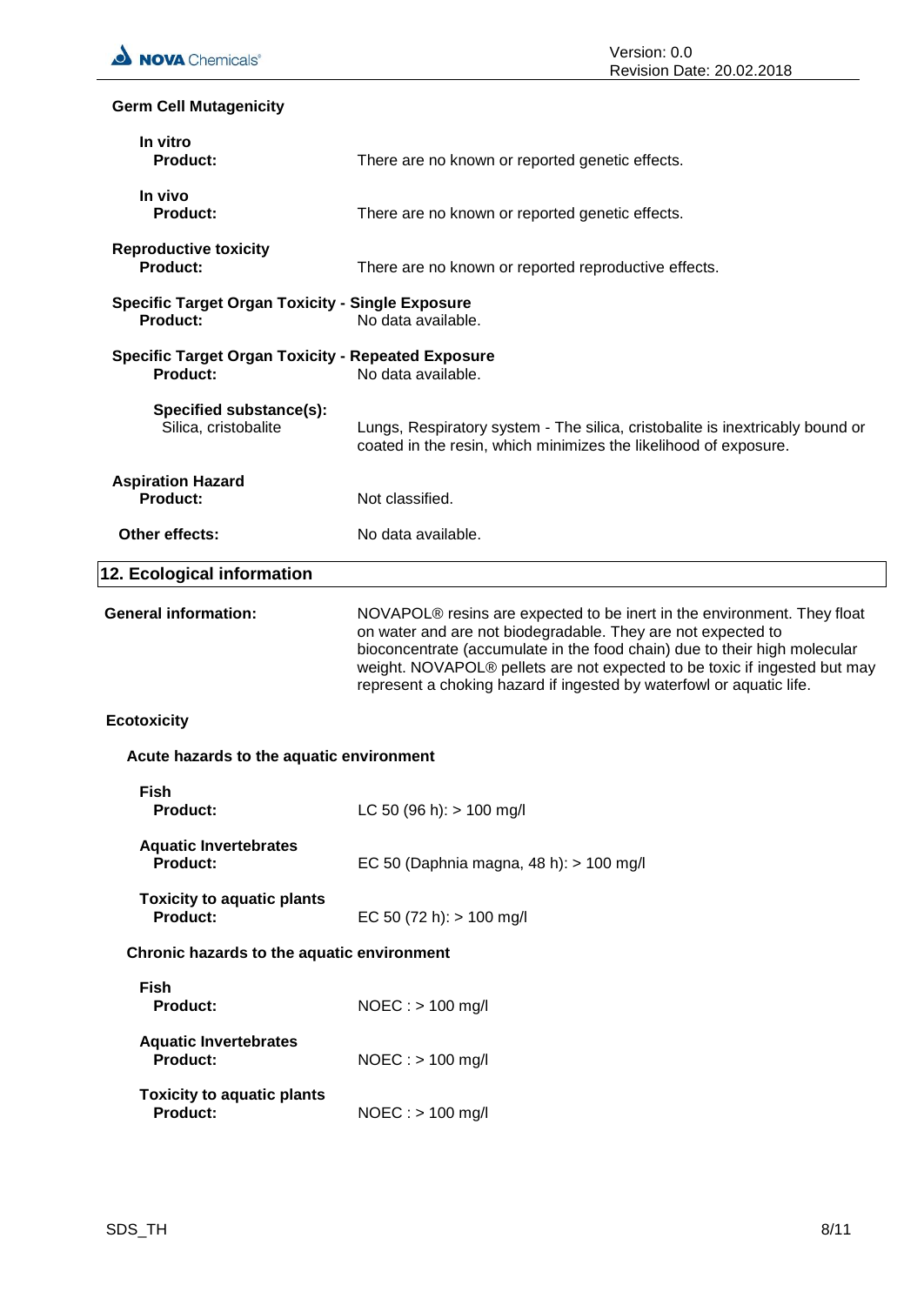# **Germ Cell Mutagenicity**

| In vitro<br><b>Product:</b>                                                  | There are no known or reported genetic effects.                                                                                                                                                                                                                                                                                                                                       |
|------------------------------------------------------------------------------|---------------------------------------------------------------------------------------------------------------------------------------------------------------------------------------------------------------------------------------------------------------------------------------------------------------------------------------------------------------------------------------|
| In vivo<br><b>Product:</b>                                                   | There are no known or reported genetic effects.                                                                                                                                                                                                                                                                                                                                       |
| <b>Reproductive toxicity</b><br>Product:                                     | There are no known or reported reproductive effects.                                                                                                                                                                                                                                                                                                                                  |
| <b>Specific Target Organ Toxicity - Single Exposure</b><br><b>Product:</b>   | No data available.                                                                                                                                                                                                                                                                                                                                                                    |
| <b>Specific Target Organ Toxicity - Repeated Exposure</b><br><b>Product:</b> | No data available.                                                                                                                                                                                                                                                                                                                                                                    |
| Specified substance(s):<br>Silica, cristobalite                              | Lungs, Respiratory system - The silica, cristobalite is inextricably bound or<br>coated in the resin, which minimizes the likelihood of exposure.                                                                                                                                                                                                                                     |
| <b>Aspiration Hazard</b><br>Product:                                         | Not classified.                                                                                                                                                                                                                                                                                                                                                                       |
| Other effects:                                                               | No data available.                                                                                                                                                                                                                                                                                                                                                                    |
| 12. Ecological information                                                   |                                                                                                                                                                                                                                                                                                                                                                                       |
| <b>General information:</b>                                                  | NOVAPOL <sup>®</sup> resins are expected to be inert in the environment. They float<br>on water and are not biodegradable. They are not expected to<br>bioconcentrate (accumulate in the food chain) due to their high molecular<br>weight. NOVAPOL® pellets are not expected to be toxic if ingested but may<br>represent a choking hazard if ingested by waterfowl or aquatic life. |
| <b>Ecotoxicity</b>                                                           |                                                                                                                                                                                                                                                                                                                                                                                       |
| Acute hazards to the aquatic environment                                     |                                                                                                                                                                                                                                                                                                                                                                                       |
| <b>Fish</b><br><b>Product:</b>                                               | LC 50 (96 h): $> 100$ mg/l                                                                                                                                                                                                                                                                                                                                                            |
| <b>Aquatic Invertebrates</b><br><b>Product:</b>                              | EC 50 (Daphnia magna, 48 h): > 100 mg/l                                                                                                                                                                                                                                                                                                                                               |
| <b>Toxicity to aquatic plants</b><br><b>Product:</b>                         | EC 50 (72 h): $> 100$ mg/l                                                                                                                                                                                                                                                                                                                                                            |
| Chronic hazards to the aquatic environment                                   |                                                                                                                                                                                                                                                                                                                                                                                       |
| <b>Fish</b><br><b>Product:</b>                                               | $NOEC :$ > 100 mg/l                                                                                                                                                                                                                                                                                                                                                                   |
| <b>Aquatic Invertebrates</b><br><b>Product:</b>                              | $NOEC :$ > 100 mg/l                                                                                                                                                                                                                                                                                                                                                                   |
| <b>Toxicity to aquatic plants</b><br><b>Product:</b>                         | $NOEC:$ > 100 mg/l                                                                                                                                                                                                                                                                                                                                                                    |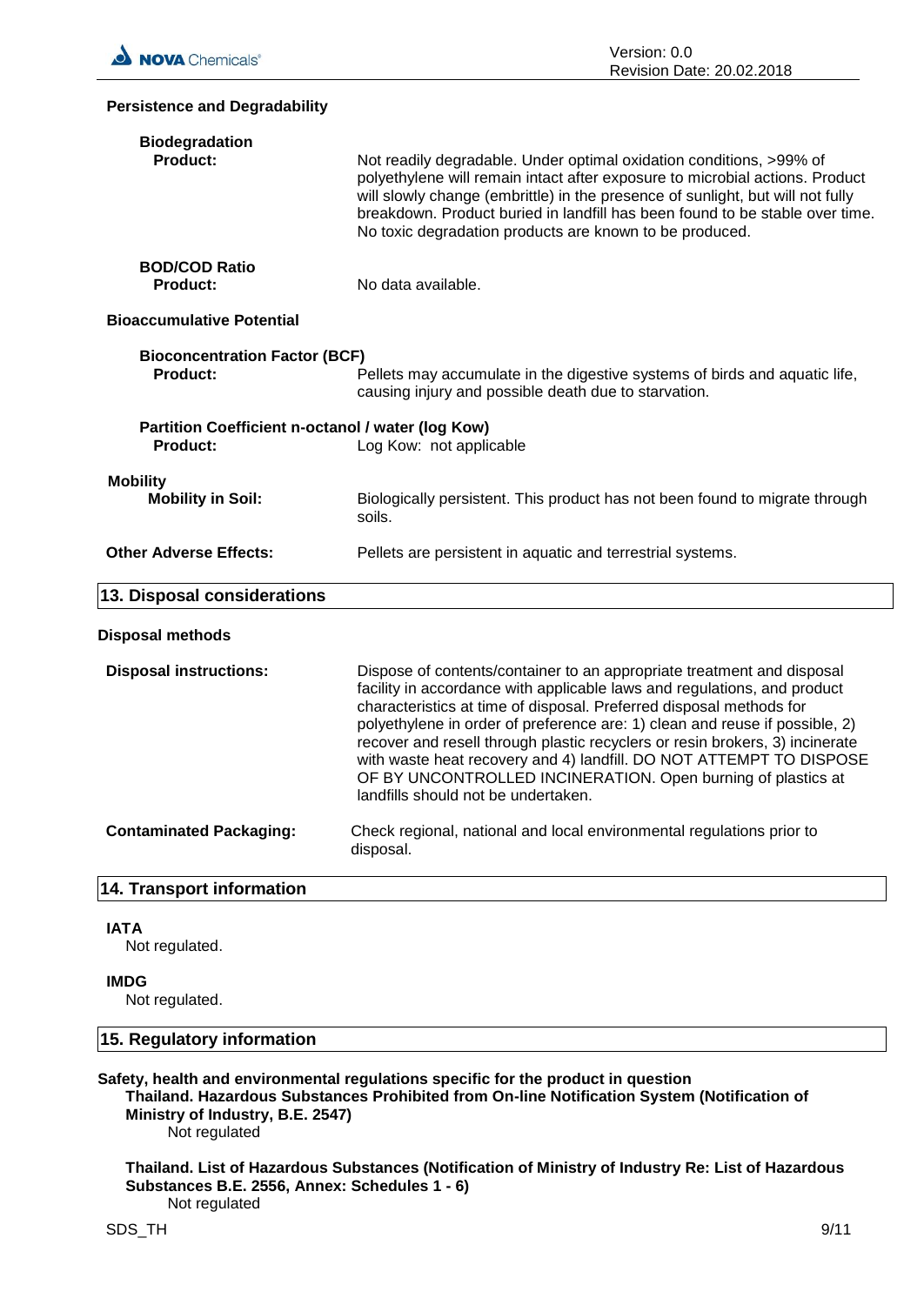| <b>Persistence and Degradability</b>                                 |                                                                                                                                                                                                                                                                                                                                                                                                                                                                                                                                                                        |
|----------------------------------------------------------------------|------------------------------------------------------------------------------------------------------------------------------------------------------------------------------------------------------------------------------------------------------------------------------------------------------------------------------------------------------------------------------------------------------------------------------------------------------------------------------------------------------------------------------------------------------------------------|
| <b>Biodegradation</b><br><b>Product:</b>                             | Not readily degradable. Under optimal oxidation conditions, >99% of<br>polyethylene will remain intact after exposure to microbial actions. Product<br>will slowly change (embrittle) in the presence of sunlight, but will not fully<br>breakdown. Product buried in landfill has been found to be stable over time.<br>No toxic degradation products are known to be produced.                                                                                                                                                                                       |
| <b>BOD/COD Ratio</b><br><b>Product:</b>                              | No data available.                                                                                                                                                                                                                                                                                                                                                                                                                                                                                                                                                     |
| <b>Bioaccumulative Potential</b>                                     |                                                                                                                                                                                                                                                                                                                                                                                                                                                                                                                                                                        |
| <b>Bioconcentration Factor (BCF)</b><br><b>Product:</b>              | Pellets may accumulate in the digestive systems of birds and aquatic life,<br>causing injury and possible death due to starvation.                                                                                                                                                                                                                                                                                                                                                                                                                                     |
| Partition Coefficient n-octanol / water (log Kow)<br><b>Product:</b> | Log Kow: not applicable                                                                                                                                                                                                                                                                                                                                                                                                                                                                                                                                                |
| <b>Mobility</b><br><b>Mobility in Soil:</b>                          | Biologically persistent. This product has not been found to migrate through<br>soils.                                                                                                                                                                                                                                                                                                                                                                                                                                                                                  |
| <b>Other Adverse Effects:</b>                                        | Pellets are persistent in aquatic and terrestrial systems.                                                                                                                                                                                                                                                                                                                                                                                                                                                                                                             |
| 13. Disposal considerations                                          |                                                                                                                                                                                                                                                                                                                                                                                                                                                                                                                                                                        |
| <b>Disposal methods</b>                                              |                                                                                                                                                                                                                                                                                                                                                                                                                                                                                                                                                                        |
| <b>Disposal instructions:</b>                                        | Dispose of contents/container to an appropriate treatment and disposal<br>facility in accordance with applicable laws and regulations, and product<br>characteristics at time of disposal. Preferred disposal methods for<br>polyethylene in order of preference are: 1) clean and reuse if possible, 2)<br>recover and resell through plastic recyclers or resin brokers, 3) incinerate<br>with waste heat recovery and 4) landfill. DO NOT ATTEMPT TO DISPOSE<br>OF BY UNCONTROLLED INCINERATION. Open burning of plastics at<br>landfills should not be undertaken. |
| <b>Contaminated Packaging:</b>                                       | Check regional, national and local environmental regulations prior to<br>disposal.                                                                                                                                                                                                                                                                                                                                                                                                                                                                                     |
| 14. Transport information                                            |                                                                                                                                                                                                                                                                                                                                                                                                                                                                                                                                                                        |
| <b>IATA</b>                                                          |                                                                                                                                                                                                                                                                                                                                                                                                                                                                                                                                                                        |

Not regulated.

#### **IMDG**

Not regulated.

#### **15. Regulatory information**

#### **Safety, health and environmental regulations specific for the product in question Thailand. Hazardous Substances Prohibited from On-line Notification System (Notification of**

**Ministry of Industry, B.E. 2547)** Not regulated

**Thailand. List of Hazardous Substances (Notification of Ministry of Industry Re: List of Hazardous Substances B.E. 2556, Annex: Schedules 1 - 6)** Not regulated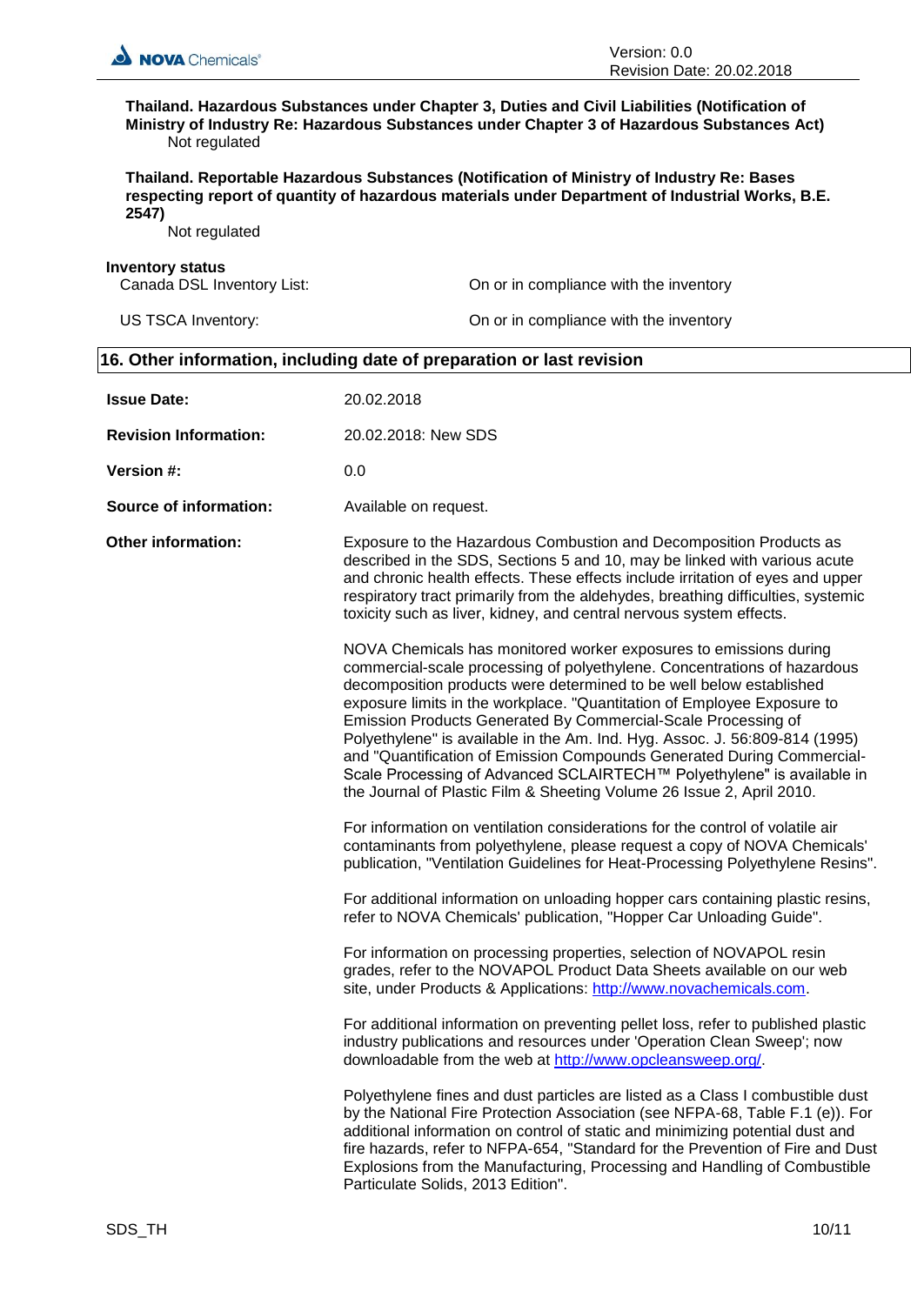

**Thailand. Hazardous Substances under Chapter 3, Duties and Civil Liabilities (Notification of Ministry of Industry Re: Hazardous Substances under Chapter 3 of Hazardous Substances Act)** Not regulated

**Thailand. Reportable Hazardous Substances (Notification of Ministry of Industry Re: Bases respecting report of quantity of hazardous materials under Department of Industrial Works, B.E. 2547)**

Not regulated

**Inventory status**<br>Canada DSL Inventory List: On or in compliance with the inventory US TSCA Inventory: On or in compliance with the inventory

### **16. Other information, including date of preparation or last revision**

| <b>Issue Date:</b>            | 20.02.2018                                                                                                                                                                                                                                                                                                                                                                                                                                                                                                                                                                                                                                                                   |
|-------------------------------|------------------------------------------------------------------------------------------------------------------------------------------------------------------------------------------------------------------------------------------------------------------------------------------------------------------------------------------------------------------------------------------------------------------------------------------------------------------------------------------------------------------------------------------------------------------------------------------------------------------------------------------------------------------------------|
| <b>Revision Information:</b>  | 20.02.2018: New SDS                                                                                                                                                                                                                                                                                                                                                                                                                                                                                                                                                                                                                                                          |
| <b>Version #:</b>             | 0.0                                                                                                                                                                                                                                                                                                                                                                                                                                                                                                                                                                                                                                                                          |
| <b>Source of information:</b> | Available on request.                                                                                                                                                                                                                                                                                                                                                                                                                                                                                                                                                                                                                                                        |
| <b>Other information:</b>     | Exposure to the Hazardous Combustion and Decomposition Products as<br>described in the SDS, Sections 5 and 10, may be linked with various acute<br>and chronic health effects. These effects include irritation of eyes and upper<br>respiratory tract primarily from the aldehydes, breathing difficulties, systemic<br>toxicity such as liver, kidney, and central nervous system effects.                                                                                                                                                                                                                                                                                 |
|                               | NOVA Chemicals has monitored worker exposures to emissions during<br>commercial-scale processing of polyethylene. Concentrations of hazardous<br>decomposition products were determined to be well below established<br>exposure limits in the workplace. "Quantitation of Employee Exposure to<br>Emission Products Generated By Commercial-Scale Processing of<br>Polyethylene" is available in the Am. Ind. Hyg. Assoc. J. 56:809-814 (1995)<br>and "Quantification of Emission Compounds Generated During Commercial-<br>Scale Processing of Advanced SCLAIRTECH™ Polyethylene" is available in<br>the Journal of Plastic Film & Sheeting Volume 26 Issue 2, April 2010. |
|                               | For information on ventilation considerations for the control of volatile air<br>contaminants from polyethylene, please request a copy of NOVA Chemicals'<br>publication, "Ventilation Guidelines for Heat-Processing Polyethylene Resins".                                                                                                                                                                                                                                                                                                                                                                                                                                  |
|                               | For additional information on unloading hopper cars containing plastic resins,<br>refer to NOVA Chemicals' publication, "Hopper Car Unloading Guide".                                                                                                                                                                                                                                                                                                                                                                                                                                                                                                                        |
|                               | For information on processing properties, selection of NOVAPOL resin<br>grades, refer to the NOVAPOL Product Data Sheets available on our web<br>site, under Products & Applications: http://www.novachemicals.com.                                                                                                                                                                                                                                                                                                                                                                                                                                                          |
|                               | For additional information on preventing pellet loss, refer to published plastic<br>industry publications and resources under 'Operation Clean Sweep'; now<br>downloadable from the web at http://www.opcleansweep.org/.                                                                                                                                                                                                                                                                                                                                                                                                                                                     |
|                               | Polyethylene fines and dust particles are listed as a Class I combustible dust<br>by the National Fire Protection Association (see NFPA-68, Table F.1 (e)). For<br>additional information on control of static and minimizing potential dust and<br>fire hazards, refer to NFPA-654, "Standard for the Prevention of Fire and Dust<br>Explosions from the Manufacturing, Processing and Handling of Combustible<br>Particulate Solids, 2013 Edition".                                                                                                                                                                                                                        |